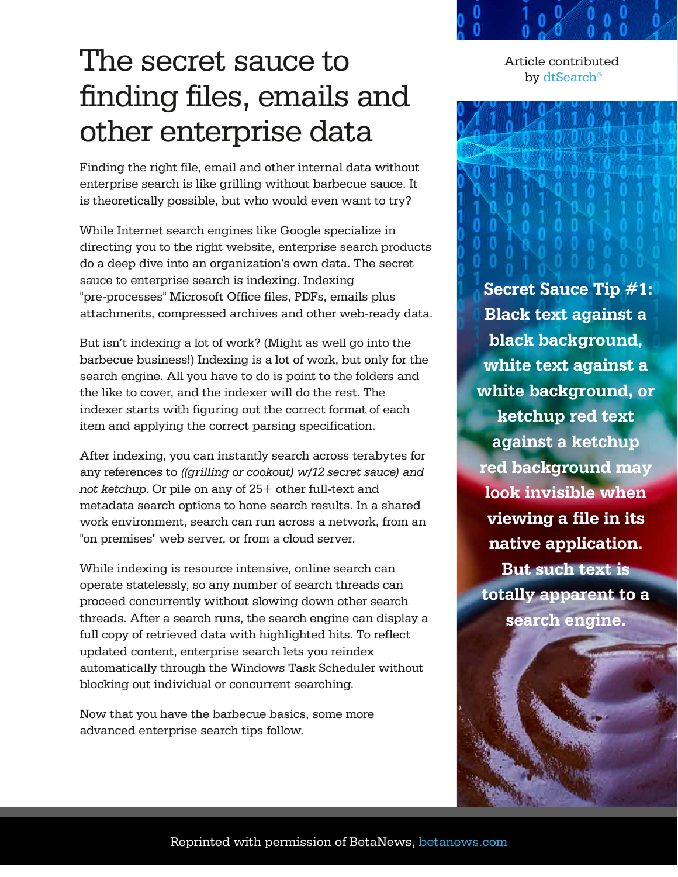## The secret sauce to finding files, emails and other enterprise data

Finding the right file, email and other internal data without enterprise search is like grilling without barbecue sauce. It is theoretically possible, but who would even want to try?

While Internet search engines like Google specialize in directing you to the right website, enterprise search products do a deep dive into an organization's own data. The secret sauce to enterprise search is indexing. Indexing "pre-processes" Microsoft Office files, PDFs, emails plus attachments, compressed archives and other web-ready data.

But isn't indexing a lot of work? (Might as well go into the barbecue business!) Indexing is a lot of work, but only for the search engine. All you have to do is point to the folders and the like to cover, and the indexer will do the rest. The indexer starts with figuring out the correct format of each item and applying the correct parsing specification.

After indexing, you can instantly search across terabytes for any references to *((grilling or cookout) w/12 secret sauce) and not ketchup*. Or pile on any of 25+ other full-text and metadata search options to hone search results. In a shared work environment, search can run across a network, from an "on premises" web server, or from a cloud server.

While indexing is resource intensive, online search can operate statelessly, so any number of search threads can proceed concurrently without slowing down other search threads. After a search runs, the search engine can display a full copy of retrieved data with highlighted hits. To reflect updated content, enterprise search lets you reindex automatically through the Windows Task Scheduler without blocking out individual or concurrent searching.

Now that you have the barbecue basics, some more advanced enterprise search tips follow.



 **Secret Sauce Tip #1: Black text against a black background, white text against a white background, or ketchup red text against a ketchup red background may look invisible when viewing a file in its native application. But such text is totally apparent to a search engine.**